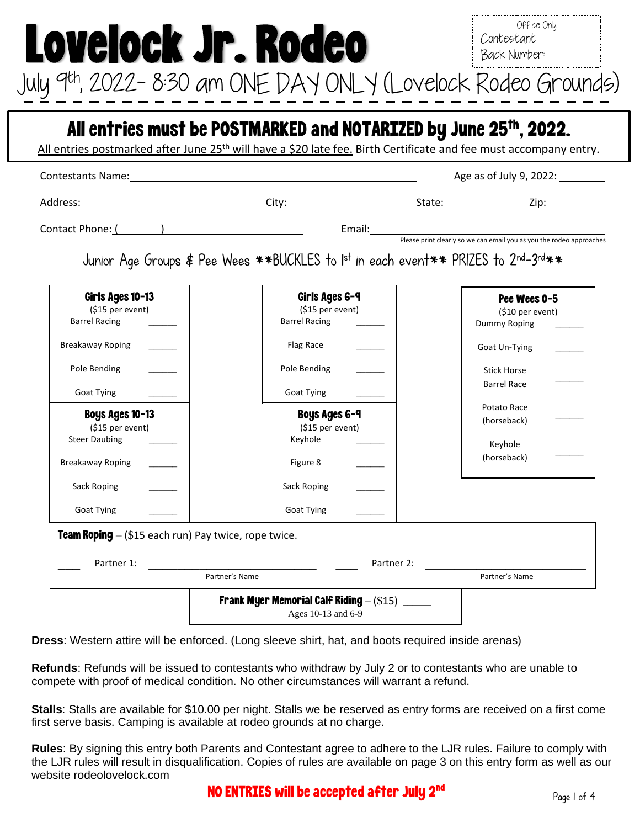NO ENTRIES will be accepted after July  $\mathbf{2}^{\mathrm{nd}}$ 

Page 1 of 4

|                                                               | Contestants Name: Name and Contestants Name and Contestants Name and Contestants Name and Contestants of the Contest of the Contest of the Contest of the Contest of the Contest of the Contest of the Contest of the Contest |            | Age as of July 9, 2022: |
|---------------------------------------------------------------|-------------------------------------------------------------------------------------------------------------------------------------------------------------------------------------------------------------------------------|------------|-------------------------|
|                                                               |                                                                                                                                                                                                                               |            |                         |
|                                                               | Contact Phone: ( and Table 2014)<br>Please print clearly so we can email you as you the rodeo approaches                                                                                                                      |            |                         |
|                                                               | Junior Age Groups \$ Pee Wees **BUCKLES to Ist in each event** PRIZES to 2nd-3rd**                                                                                                                                            |            |                         |
| Girls Ages 10-13                                              | Girls Ages 6-9                                                                                                                                                                                                                |            | Pee Wees 0-5            |
| (\$15 per event)<br><b>Barrel Racing</b>                      | (\$15 per event)<br><b>Barrel Racing</b>                                                                                                                                                                                      |            | (\$10 per event)        |
|                                                               |                                                                                                                                                                                                                               |            | Dummy Roping            |
| Breakaway Roping                                              | Flag Race                                                                                                                                                                                                                     |            | Goat Un-Tying           |
| Pole Bending                                                  | Pole Bending                                                                                                                                                                                                                  |            | <b>Stick Horse</b>      |
|                                                               |                                                                                                                                                                                                                               |            | <b>Barrel Race</b>      |
| <b>Goat Tying</b>                                             | Goat Tying                                                                                                                                                                                                                    |            | Potato Race             |
| Boys Ages 10-13                                               | <b>Boys Ages 6-9</b>                                                                                                                                                                                                          |            | (horseback)             |
| (\$15 per event)                                              | (\$15 per event)                                                                                                                                                                                                              |            |                         |
| <b>Steer Daubing</b>                                          | Keyhole                                                                                                                                                                                                                       |            | Keyhole                 |
| <b>Breakaway Roping</b>                                       | Figure 8                                                                                                                                                                                                                      |            | (horseback)             |
| Sack Roping                                                   | Sack Roping                                                                                                                                                                                                                   |            |                         |
| <b>Goat Tying</b>                                             | Goat Tying                                                                                                                                                                                                                    |            |                         |
| <b>Team Roping</b> $-$ (\$15 each run) Pay twice, rope twice. |                                                                                                                                                                                                                               |            |                         |
|                                                               |                                                                                                                                                                                                                               |            |                         |
| Partner 1:                                                    |                                                                                                                                                                                                                               | Partner 2: |                         |

**Dress**: Western attire will be enforced. (Long sleeve shirt, hat, and boots required inside arenas)

**Refunds**: Refunds will be issued to contestants who withdraw by July 2 or to contestants who are unable to compete with proof of medical condition. No other circumstances will warrant a refund.

**Stalls**: Stalls are available for \$10.00 per night. Stalls we be reserved as entry forms are received on a first come first serve basis. Camping is available at rodeo grounds at no charge.

**Rules**: By signing this entry both Parents and Contestant agree to adhere to the LJR rules. Failure to comply with the LJR rules will result in disqualification. Copies of rules are available on page 3 on this entry form as well as our website rodeolovelock.com

Office Only Contestant

Lovelock Jr. Rodeo July 9 th, 2022– 8:30 am ONE DAY ONLY (Lovelock Rodeo Grounds)

Back Number: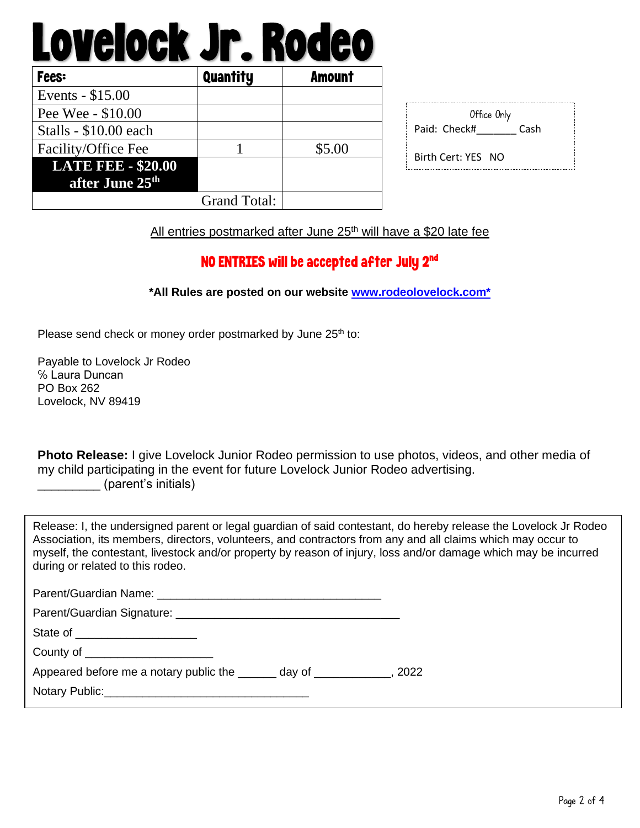# Lovelock Jr. Rodeo

| <b>Fees:</b>                | <b>Quantity</b>     | <b>Amount</b> |
|-----------------------------|---------------------|---------------|
| Events - \$15.00            |                     |               |
| Pee Wee - \$10.00           |                     |               |
| Stalls - \$10.00 each       |                     |               |
| Facility/Office Fee         |                     | \$5.00        |
| <b>LATE FEE - \$20.00</b>   |                     |               |
| after June 25 <sup>th</sup> |                     |               |
|                             | <b>Grand Total:</b> |               |

| Office Only  |      |
|--------------|------|
| Paid: Check# | Cash |

Birth Cert: YES NO

All entries postmarked after June 25<sup>th</sup> will have a \$20 late fee

### NO ENTRIES will be accepted after July  $\mathbf{2}^{\mathrm{nd}}$

#### **\*All Rules are posted on our website [www.rodeolovelock.com\\*](http://www.rodeolovelock.com*/)**

Please send check or money order postmarked by June 25<sup>th</sup> to:

Payable to Lovelock Jr Rodeo ℅ Laura Duncan PO Box 262 Lovelock, NV 89419

**Photo Release:** I give Lovelock Junior Rodeo permission to use photos, videos, and other media of my child participating in the event for future Lovelock Junior Rodeo advertising. \_\_\_\_\_\_\_\_\_ (parent's initials)

Release: I, the undersigned parent or legal guardian of said contestant, do hereby release the Lovelock Jr Rodeo Association, its members, directors, volunteers, and contractors from any and all claims which may occur to myself, the contestant, livestock and/or property by reason of injury, loss and/or damage which may be incurred during or related to this rodeo.

| State of _______________________                                          |  |
|---------------------------------------------------------------------------|--|
| County of _______________________                                         |  |
| Appeared before me a notary public the _______ day of _____________, 2022 |  |
|                                                                           |  |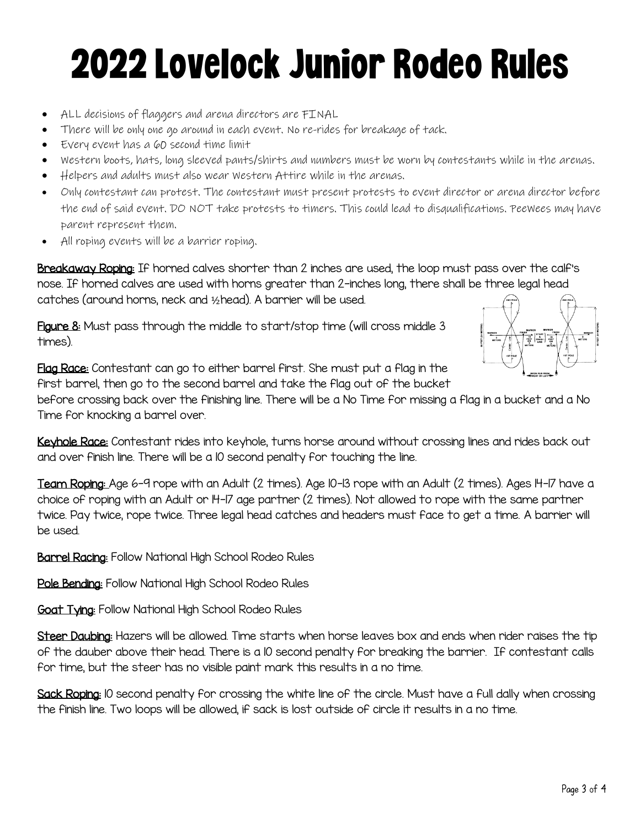## 2022Lovelock Junior Rodeo Rules

- ALL decisions of flaggers and arena directors are FINAL
- There will be only one go around in each event. No re-rides for breakage of tack.
- Every event has a 60 second time limit
- Western boots, hats, long sleeved pants/shirts and numbers must be worn by contestants while in the arenas.
- Helpers and adults must also wear Western Attire while in the arenas.
- Only contestant can protest. The contestant must present protests to event director or arena director before the end of said event. DO NOT take protests to timers. This could lead to disqualifications. PeeWees may have parent represent them.
- All roping events will be a barrier roping.

Breakaway Roping: If horned calves shorter than 2 inches are used, the loop must pass over the calf's nose. If horned calves are used with horns greater than 2-inches long, there shall be three legal head catches (around horns, neck and ½head). A barrier will be used.

Figure 8: Must pass through the middle to start/stop time (will cross middle 3 times).



Flag Race: Contestant can go to either barrel first. She must put a flag in the first barrel, then go to the second barrel and take the flag out of the bucket

before crossing back over the finishing line. There will be a No Time for missing a flag in a bucket and a No Time for knocking a barrel over.

Keyhole Race: Contestant rides into keyhole, turns horse around without crossing lines and rides back out and over finish line. There will be a 10 second penalty for touching the line.

Team Roping: Age 6-9 rope with an Adult (2 times). Age 10-13 rope with an Adult (2 times). Ages 14-17 have a choice of roping with an Adult or 14-17 age partner (2 times). Not allowed to rope with the same partner twice. Pay twice, rope twice. Three legal head catches and headers must face to get a time. A barrier will be used.

**Barrel Racing:** Follow National High School Rodeo Rules

Pole Bending: Follow National High School Rodeo Rules

**Goat Tying:** Follow National High School Rodeo Rules

Steer Daubing: Hazers will be allowed. Time starts when horse leaves box and ends when rider raises the tip of the dauber above their head. There is a 10 second penalty for breaking the barrier. If contestant calls for time, but the steer has no visible paint mark this results in a no time.

Sack Roping: 10 second penalty for crossing the white line of the circle. Must have a full dally when crossing the finish line. Two loops will be allowed, if sack is lost outside of circle it results in a no time.